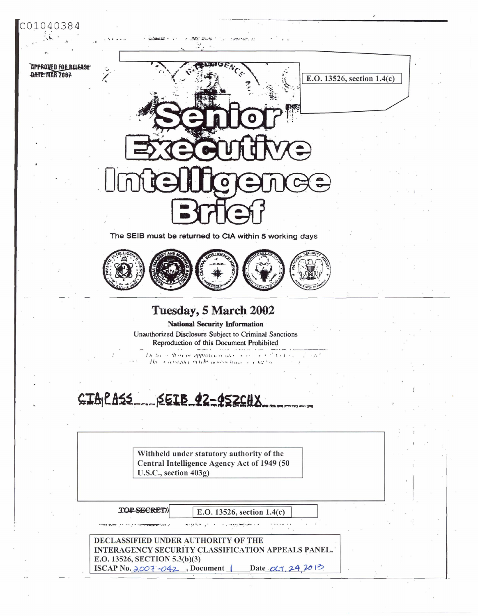

## **APPROVED FOR BELEASE** BATE: MAR 2007



of later and so the continues

The SEIB must be returned to CIA within 5 working days



## Tuesday, 5 March 2002

**National Security Information** Unauthorized Disclosure Subject to Criminal Sanctions Reproduction of this Document Prohibited

 $\frac{1}{2}$  in the control of approximation and  $\frac{1}{2}$  in the set of  $\frac{1}{2}$  in the set of  $\frac{1}{2}$ The consistence make accompany of change

## CIAPASS SEIB 42-452CHX

 $\frac{1}{2}$  and the state  $\sim$  10  $\times$ 

Withheld under statutory authority of the Central Intelligence Agency Act of 1949 (50 U.S.C., section 403g)

TOP SECRET/

E.O. 13526, section 1.4(c)

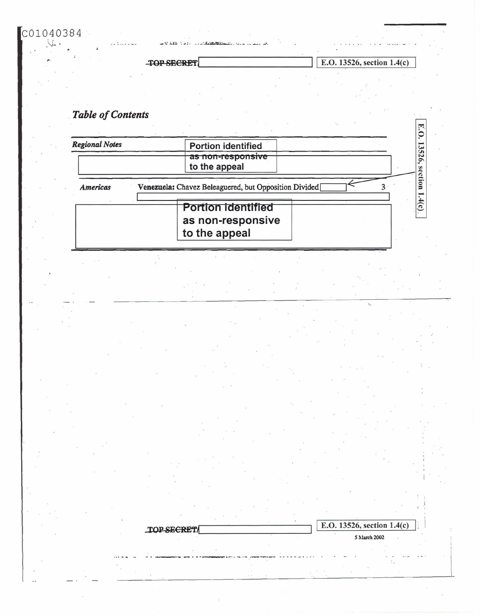TOP SECRET

TOP SECRET

222, 1539

E.O. 13526, section  $1.4(c)$ 

E.O. 13526, section 1.4(c)

5 March 2002

E.

## **Table of Contents**

 $CO1040384$ 

| <b>Regional Notes</b> | <b>Portion identified</b>                                       | 9.           |
|-----------------------|-----------------------------------------------------------------|--------------|
|                       | <del>as non-responsive</del><br>to the appeal                   | 13526,<br>Se |
| <b>Americas</b>       | Venezuela: Chavez Beleaguered, but Opposition Divided           | ction        |
|                       | <b>Portion identified</b><br>as non-responsive<br>to the appeal | 1.4(c)       |